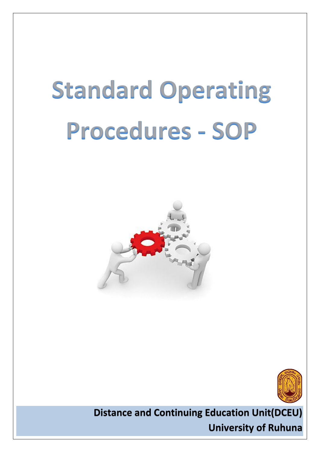# **Standard Operating Procedures - SOP**





**Distance and Continuing Education Unit(DCEU) University of Ruhuna**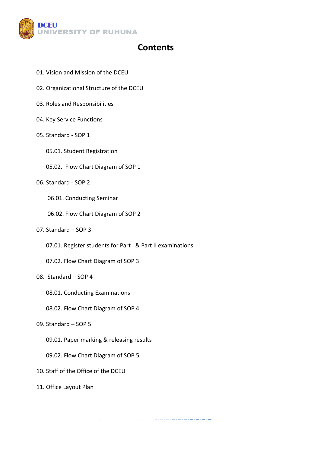

## **Contents**

- 01. Vision and Mission of the DCEU
- 02. Organizational Structure of the DCEU
- 03. Roles and Responsibilities
- 04. Key Service Functions
- 05. Standard SOP 1
	- 05.01. Student Registration
	- 05.02. Flow Chart Diagram of SOP 1
- 06. Standard SOP 2
	- 06.01. Conducting Seminar
	- 06.02. Flow Chart Diagram of SOP 2
- 07. Standard SOP 3
	- 07.01. Register students for Part I & Part II examinations
	- 07.02. Flow Chart Diagram of SOP 3

#### 08. Standard – SOP 4

- 08.01. Conducting Examinations
- 08.02. Flow Chart Diagram of SOP 4
- 09. Standard SOP 5
	- 09.01. Paper marking & releasing results
	- 09.02. Flow Chart Diagram of SOP 5
- 10. Staff of the Office of the DCEU
- 11. Office Layout Plan

سترد المتراد المتراد المتراد المتراد المتراد المتراد المتراد المتراد المتراد المراد المتراد المتراد المتراد المتراد المر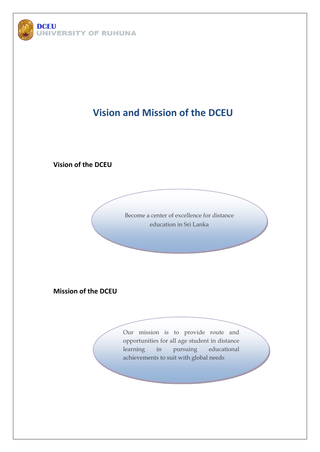

# **Vision and Mission of the DCEU**

**Vision of the DCEU**

Become a center of excellence for distance education in Sri Lanka

**Mission of the DCEU**

Our mission is to provide route and opportunities for all age student in distance learning in pursuing educational achievements to suit with global needs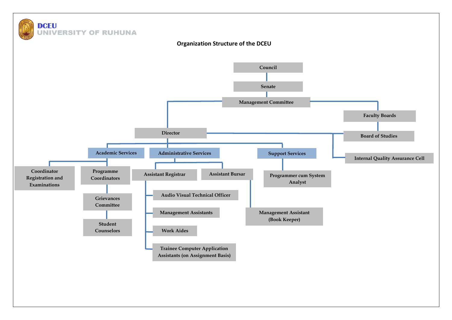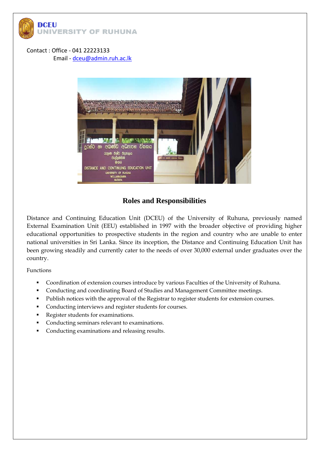

Contact : Office - 041 22223133 Email - [dceu@admin.ruh.ac.lk](mailto:dceu@admin.ruh.ac.lk)



#### **Roles and Responsibilities**

Distance and Continuing Education Unit (DCEU) of the University of Ruhuna, previously named External Examination Unit (EEU) established in 1997 with the broader objective of providing higher educational opportunities to prospective students in the region and country who are unable to enter national universities in Sri Lanka. Since its inception, the Distance and Continuing Education Unit has been growing steadily and currently cater to the needs of over 30,000 external under graduates over the country.

Functions

- Coordination of extension courses introduce by various Faculties of the University of Ruhuna.
- Conducting and coordinating Board of Studies and Management Committee meetings.
- Publish notices with the approval of the Registrar to register students for extension courses.
- Conducting interviews and register students for courses.
- Register students for examinations.
- Conducting seminars relevant to examinations.
- Conducting examinations and releasing results.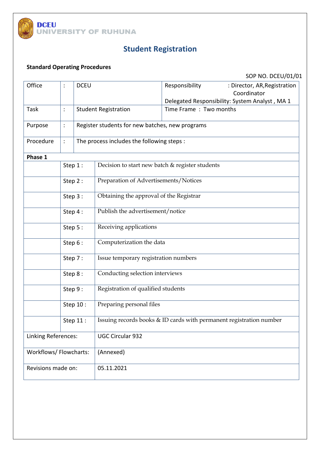

# **Student Registration**

## **Standard Operating Procedures**

| Office                 |                                                                                 | <b>DCEU</b>                                |                                                 | Responsibility         | : Director, AR, Registration<br>Coordinator    |  |  |  |
|------------------------|---------------------------------------------------------------------------------|--------------------------------------------|-------------------------------------------------|------------------------|------------------------------------------------|--|--|--|
|                        |                                                                                 |                                            |                                                 |                        | Delegated Responsibility: System Analyst, MA 1 |  |  |  |
| Task                   |                                                                                 | <b>Student Registration</b>                |                                                 | Time Frame: Two months |                                                |  |  |  |
| Purpose                |                                                                                 |                                            | Register students for new batches, new programs |                        |                                                |  |  |  |
| Procedure              |                                                                                 | The process includes the following steps : |                                                 |                        |                                                |  |  |  |
| Phase 1                |                                                                                 |                                            |                                                 |                        |                                                |  |  |  |
| Step 1:                |                                                                                 |                                            | Decision to start new batch & register students |                        |                                                |  |  |  |
|                        | Step 2:                                                                         |                                            | Preparation of Advertisements/Notices           |                        |                                                |  |  |  |
|                        | Step 3:                                                                         |                                            | Obtaining the approval of the Registrar         |                        |                                                |  |  |  |
|                        | Step 4:                                                                         |                                            | Publish the advertisement/notice                |                        |                                                |  |  |  |
|                        | Step 5:                                                                         |                                            | Receiving applications                          |                        |                                                |  |  |  |
|                        | Step 6 :                                                                        |                                            | Computerization the data                        |                        |                                                |  |  |  |
|                        | Step 7:                                                                         |                                            | Issue temporary registration numbers            |                        |                                                |  |  |  |
|                        | Step 8:                                                                         |                                            | Conducting selection interviews                 |                        |                                                |  |  |  |
|                        | Step 9:                                                                         |                                            | Registration of qualified students              |                        |                                                |  |  |  |
|                        | Step 10 :                                                                       |                                            | Preparing personal files                        |                        |                                                |  |  |  |
|                        | Issuing records books & ID cards with permanent registration number<br>Step 11: |                                            |                                                 |                        |                                                |  |  |  |
| Linking References:    |                                                                                 |                                            | <b>UGC Circular 932</b>                         |                        |                                                |  |  |  |
| Workflows/ Flowcharts: |                                                                                 |                                            | (Annexed)                                       |                        |                                                |  |  |  |
| Revisions made on:     |                                                                                 |                                            | 05.11.2021                                      |                        |                                                |  |  |  |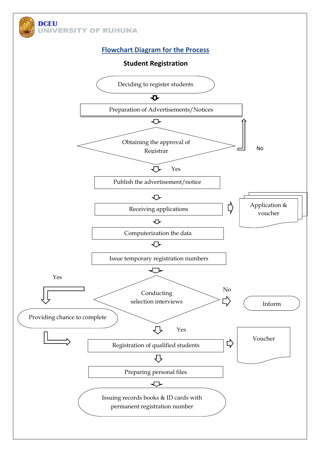

**Student Registration**

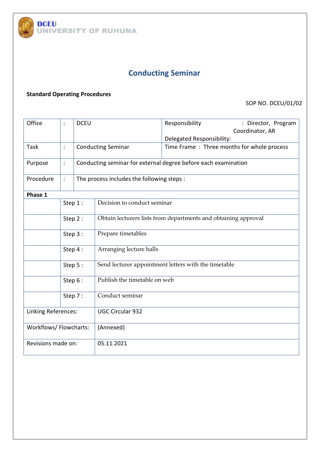

# **Conducting Seminar**

#### **Standard Operating Procedures**

| Office                |         | <b>DCEU</b> |                                                                | Responsibility                             | : Director, Program |  |  |  |
|-----------------------|---------|-------------|----------------------------------------------------------------|--------------------------------------------|---------------------|--|--|--|
|                       |         |             |                                                                |                                            | Coordinator, AR     |  |  |  |
|                       |         |             |                                                                | Delegated Responsibility:                  |                     |  |  |  |
| <b>Task</b>           |         |             | <b>Conducting Seminar</b>                                      | Time Frame: Three months for whole process |                     |  |  |  |
|                       |         |             |                                                                |                                            |                     |  |  |  |
| Purpose               |         |             | Conducting seminar for external degree before each examination |                                            |                     |  |  |  |
| Procedure             |         |             | The process includes the following steps :                     |                                            |                     |  |  |  |
| Phase 1               |         |             |                                                                |                                            |                     |  |  |  |
|                       | Step 1: |             | Decision to conduct seminar                                    |                                            |                     |  |  |  |
|                       | Step 2: |             | Obtain lecturers lists from departments and obtaining approval |                                            |                     |  |  |  |
|                       | Step 3: |             | Prepare timetables                                             |                                            |                     |  |  |  |
|                       |         |             |                                                                |                                            |                     |  |  |  |
|                       | Step 4: |             | Arranging lecture halls                                        |                                            |                     |  |  |  |
|                       | Step 5: |             | Send lecturer appointment letters with the timetable           |                                            |                     |  |  |  |
|                       | Step 6: |             | Publish the timetable on web                                   |                                            |                     |  |  |  |
|                       | Step 7: |             | Conduct seminar                                                |                                            |                     |  |  |  |
|                       |         |             |                                                                |                                            |                     |  |  |  |
| Linking References:   |         |             | <b>UGC Circular 932</b>                                        |                                            |                     |  |  |  |
| Workflows/Flowcharts: |         |             | (Annexed)                                                      |                                            |                     |  |  |  |
| Revisions made on:    |         |             | 05.11.2021                                                     |                                            |                     |  |  |  |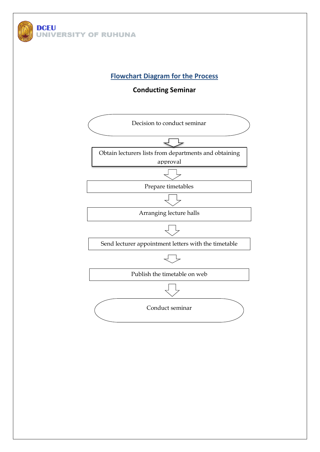

#### **Conducting Seminar**

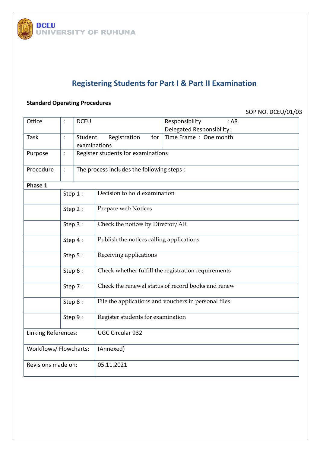

# **Registering Students for Part I & Part II Examination**

#### **Standard Operating Procedures**

| Office                |                | <b>DCEU</b>                                |                                                      | Responsibility<br>:AR<br>Delegated Responsibility: |  |  |  |  |
|-----------------------|----------------|--------------------------------------------|------------------------------------------------------|----------------------------------------------------|--|--|--|--|
| Task                  |                | Student<br>examinations                    | Registration<br>for                                  | Time Frame: One month                              |  |  |  |  |
| Purpose               | $\ddot{\cdot}$ |                                            | Register students for examinations                   |                                                    |  |  |  |  |
| Procedure             |                | The process includes the following steps : |                                                      |                                                    |  |  |  |  |
| Phase 1               |                |                                            |                                                      |                                                    |  |  |  |  |
|                       | Step 1:        |                                            | Decision to hold examination                         |                                                    |  |  |  |  |
|                       | Step 2:        |                                            | Prepare web Notices                                  |                                                    |  |  |  |  |
|                       | Step 3:        |                                            | Check the notices by Director/AR                     |                                                    |  |  |  |  |
|                       | Step 4:        |                                            | Publish the notices calling applications             |                                                    |  |  |  |  |
|                       | Step 5:        |                                            | Receiving applications                               |                                                    |  |  |  |  |
|                       | Step 6:        |                                            | Check whether fulfill the registration requirements  |                                                    |  |  |  |  |
|                       | Step 7:        |                                            | Check the renewal status of record books and renew   |                                                    |  |  |  |  |
|                       | Step 8:        |                                            | File the applications and vouchers in personal files |                                                    |  |  |  |  |
|                       | Step 9:        |                                            | Register students for examination                    |                                                    |  |  |  |  |
| Linking References:   |                |                                            | <b>UGC Circular 932</b>                              |                                                    |  |  |  |  |
| Workflows/Flowcharts: |                |                                            | (Annexed)                                            |                                                    |  |  |  |  |
| Revisions made on:    |                |                                            | 05.11.2021                                           |                                                    |  |  |  |  |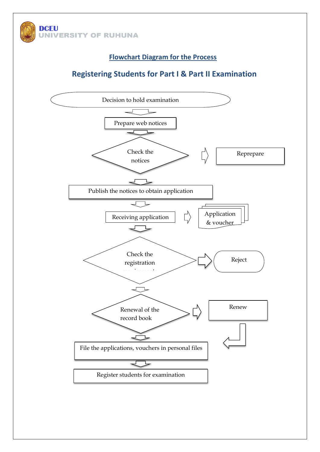

## **Registering Students for Part I & Part II Examination**

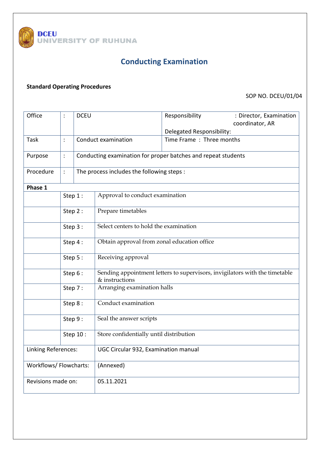

# **Conducting Examination**

#### **Standard Operating Procedures**

| Office                 |                | <b>DCEU</b>                                |                                                                                               | Responsibility                                                | : Director, Examination<br>coordinator, AR |  |  |  |
|------------------------|----------------|--------------------------------------------|-----------------------------------------------------------------------------------------------|---------------------------------------------------------------|--------------------------------------------|--|--|--|
|                        |                |                                            |                                                                                               | Delegated Responsibility:                                     |                                            |  |  |  |
| Task                   |                | Conduct examination                        |                                                                                               | Time Frame: Three months                                      |                                            |  |  |  |
|                        |                |                                            |                                                                                               |                                                               |                                            |  |  |  |
| Purpose                | $\ddot{\cdot}$ |                                            |                                                                                               | Conducting examination for proper batches and repeat students |                                            |  |  |  |
| Procedure              |                | The process includes the following steps : |                                                                                               |                                                               |                                            |  |  |  |
| Phase 1                |                |                                            |                                                                                               |                                                               |                                            |  |  |  |
|                        | Step 1:        |                                            | Approval to conduct examination                                                               |                                                               |                                            |  |  |  |
|                        | Step 2:        |                                            | Prepare timetables                                                                            |                                                               |                                            |  |  |  |
|                        | Step 3:        |                                            | Select centers to hold the examination                                                        |                                                               |                                            |  |  |  |
|                        | Step 4 :       |                                            | Obtain approval from zonal education office                                                   |                                                               |                                            |  |  |  |
|                        | Step 5:        |                                            | Receiving approval                                                                            |                                                               |                                            |  |  |  |
|                        | Step 6 :       |                                            | Sending appointment letters to supervisors, invigilators with the timetable<br>& instructions |                                                               |                                            |  |  |  |
|                        | Step 7:        |                                            | Arranging examination halls                                                                   |                                                               |                                            |  |  |  |
|                        | Step 8:        |                                            | Conduct examination                                                                           |                                                               |                                            |  |  |  |
|                        | Step 9:        |                                            | Seal the answer scripts                                                                       |                                                               |                                            |  |  |  |
|                        | Step 10 :      |                                            | Store confidentially until distribution                                                       |                                                               |                                            |  |  |  |
| Linking References:    |                |                                            | UGC Circular 932, Examination manual                                                          |                                                               |                                            |  |  |  |
| Workflows/ Flowcharts: |                |                                            | (Annexed)                                                                                     |                                                               |                                            |  |  |  |
| Revisions made on:     |                |                                            | 05.11.2021                                                                                    |                                                               |                                            |  |  |  |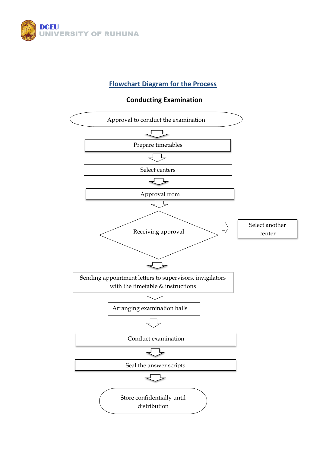

**Conducting Examination**

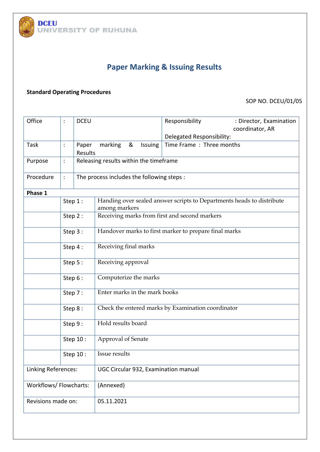

# **Paper Marking & Issuing Results**

#### **Standard Operating Procedures**

| Office                 |                | <b>DCEU</b>                          |                                                                                        |              |  | Responsibility            | : Director, Examination<br>coordinator, AR |  |  |
|------------------------|----------------|--------------------------------------|----------------------------------------------------------------------------------------|--------------|--|---------------------------|--------------------------------------------|--|--|
|                        |                |                                      |                                                                                        |              |  | Delegated Responsibility: |                                            |  |  |
| Task                   |                | Paper<br>Results                     | marking                                                                                | &<br>Issuing |  | Time Frame: Three months  |                                            |  |  |
| Purpose                |                |                                      | Releasing results within the timeframe                                                 |              |  |                           |                                            |  |  |
| Procedure              | $\ddot{\cdot}$ |                                      | The process includes the following steps :                                             |              |  |                           |                                            |  |  |
| Phase 1                |                |                                      |                                                                                        |              |  |                           |                                            |  |  |
|                        | Step 1:        |                                      | Handing over sealed answer scripts to Departments heads to distribute<br>among markers |              |  |                           |                                            |  |  |
|                        | Step 2:        |                                      | Receiving marks from first and second markers                                          |              |  |                           |                                            |  |  |
|                        | Step 3:        |                                      | Handover marks to first marker to prepare final marks                                  |              |  |                           |                                            |  |  |
|                        | Step 4:        |                                      | Receiving final marks                                                                  |              |  |                           |                                            |  |  |
|                        | Step 5:        |                                      | Receiving approval                                                                     |              |  |                           |                                            |  |  |
|                        | Step 6 :       |                                      | Computerize the marks                                                                  |              |  |                           |                                            |  |  |
|                        | Step 7:        |                                      | Enter marks in the mark books                                                          |              |  |                           |                                            |  |  |
|                        | Step 8:        |                                      | Check the entered marks by Examination coordinator                                     |              |  |                           |                                            |  |  |
|                        | Step 9:        |                                      | Hold results board                                                                     |              |  |                           |                                            |  |  |
|                        | Step 10 :      |                                      | Approval of Senate                                                                     |              |  |                           |                                            |  |  |
|                        | Step 10 :      |                                      | Issue results                                                                          |              |  |                           |                                            |  |  |
| Linking References:    |                | UGC Circular 932, Examination manual |                                                                                        |              |  |                           |                                            |  |  |
| Workflows/ Flowcharts: |                | (Annexed)                            |                                                                                        |              |  |                           |                                            |  |  |
| Revisions made on:     |                | 05.11.2021                           |                                                                                        |              |  |                           |                                            |  |  |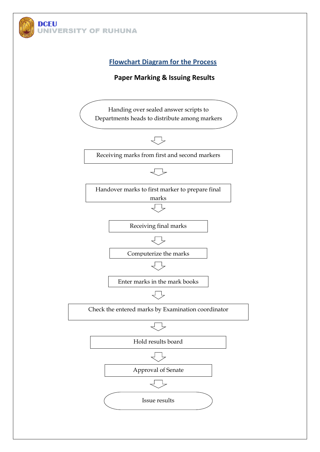

#### **Paper Marking & Issuing Results**

Handing over sealed answer scripts to Departments heads to distribute among markers



Receiving marks from first and second markers



Handover marks to first marker to prepare final marks



Computerize the marks

Enter marks in the mark books



Check the entered marks by Examination coordinator







Approval of Senate

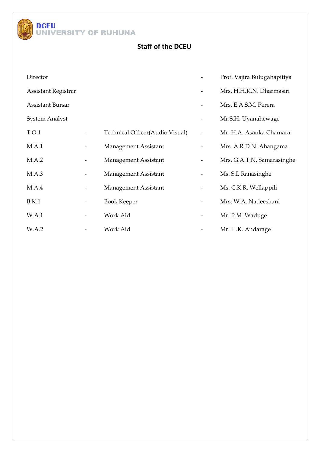

## **Staff of the DCEU**

| Director                |                                 |                          | Prof. Vajira Bulugahapitiya |
|-------------------------|---------------------------------|--------------------------|-----------------------------|
| Assistant Registrar     |                                 |                          | Mrs. H.H.K.N. Dharmasiri    |
| <b>Assistant Bursar</b> |                                 |                          | Mrs. E.A.S.M. Perera        |
| <b>System Analyst</b>   |                                 | -                        | Mr.S.H. Uyanahewage         |
| T.O.1                   | Technical Officer(Audio Visual) |                          | Mr. H.A. Asanka Chamara     |
| M.A.1                   | Management Assistant            | -                        | Mrs. A.R.D.N. Ahangama      |
| M.A.2                   | Management Assistant            |                          | Mrs. G.A.T.N. Samarasinghe  |
| M.A.3                   | Management Assistant            | $\overline{\phantom{a}}$ | Ms. S.I. Ranasinghe         |
| M.A.4                   | Management Assistant            |                          | Ms. C.K.R. Wellappili       |
| B.K.1                   | <b>Book Keeper</b>              |                          | Mrs. W.A. Nadeeshani        |
| W.A.1                   | Work Aid                        |                          | Mr. P.M. Waduge             |
| W.A.2                   | Work Aid                        |                          | Mr. H.K. Andarage           |